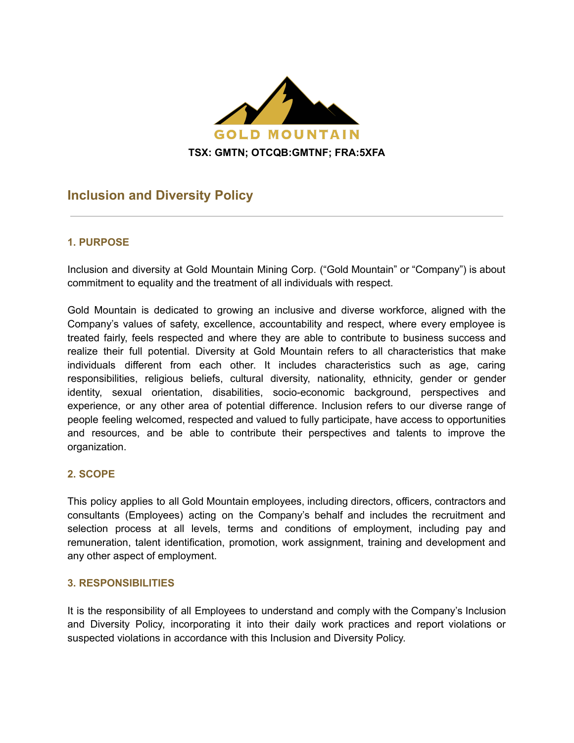

# **Inclusion and Diversity Policy**

### **1. PURPOSE**

Inclusion and diversity at Gold Mountain Mining Corp. ("Gold Mountain" or "Company") is about commitment to equality and the treatment of all individuals with respect.

Gold Mountain is dedicated to growing an inclusive and diverse workforce, aligned with the Company's values of safety, excellence, accountability and respect, where every employee is treated fairly, feels respected and where they are able to contribute to business success and realize their full potential. Diversity at Gold Mountain refers to all characteristics that make individuals different from each other. It includes characteristics such as age, caring responsibilities, religious beliefs, cultural diversity, nationality, ethnicity, gender or gender identity, sexual orientation, disabilities, socio-economic background, perspectives and experience, or any other area of potential difference. Inclusion refers to our diverse range of people feeling welcomed, respected and valued to fully participate, have access to opportunities and resources, and be able to contribute their perspectives and talents to improve the organization.

#### **2. SCOPE**

This policy applies to all Gold Mountain employees, including directors, officers, contractors and consultants (Employees) acting on the Company's behalf and includes the recruitment and selection process at all levels, terms and conditions of employment, including pay and remuneration, talent identification, promotion, work assignment, training and development and any other aspect of employment.

#### **3. RESPONSIBILITIES**

It is the responsibility of all Employees to understand and comply with the Company's Inclusion and Diversity Policy, incorporating it into their daily work practices and report violations or suspected violations in accordance with this Inclusion and Diversity Policy.